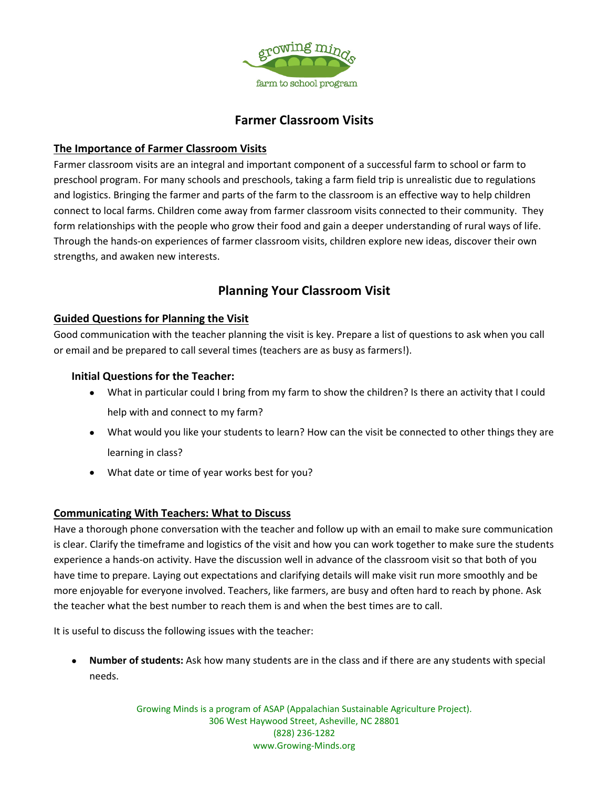

## **Farmer Classroom Visits**

### **The Importance of Farmer Classroom Visits**

Farmer classroom visits are an integral and important component of a successful farm to school or farm to preschool program. For many schools and preschools, taking a farm field trip is unrealistic due to regulations and logistics. Bringing the farmer and parts of the farm to the classroom is an effective way to help children connect to local farms. Children come away from farmer classroom visits connected to their community. They form relationships with the people who grow their food and gain a deeper understanding of rural ways of life. Through the hands-on experiences of farmer classroom visits, children explore new ideas, discover their own strengths, and awaken new interests.

# **Planning Your Classroom Visit**

### **Guided Questions for Planning the Visit**

Good communication with the teacher planning the visit is key. Prepare a list of questions to ask when you call or email and be prepared to call several times (teachers are as busy as farmers!).

#### **Initial Questions for the Teacher:**

- What in particular could I bring from my farm to show the children? Is there an activity that I could help with and connect to my farm?
- What would you like your students to learn? How can the visit be connected to other things they are learning in class?
- What date or time of year works best for you?

#### **Communicating With Teachers: What to Discuss**

Have a thorough phone conversation with the teacher and follow up with an email to make sure communication is clear. Clarify the timeframe and logistics of the visit and how you can work together to make sure the students experience a hands-on activity. Have the discussion well in advance of the classroom visit so that both of you have time to prepare. Laying out expectations and clarifying details will make visit run more smoothly and be more enjoyable for everyone involved. Teachers, like farmers, are busy and often hard to reach by phone. Ask the teacher what the best number to reach them is and when the best times are to call.

It is useful to discuss the following issues with the teacher:

 **Number of students:** Ask how many students are in the class and if there are any students with special needs.

> Growing Minds is a program of ASAP (Appalachian Sustainable Agriculture Project). 306 West Haywood Street, Asheville, NC 28801 (828) 236-1282 www.Growing-Minds.org